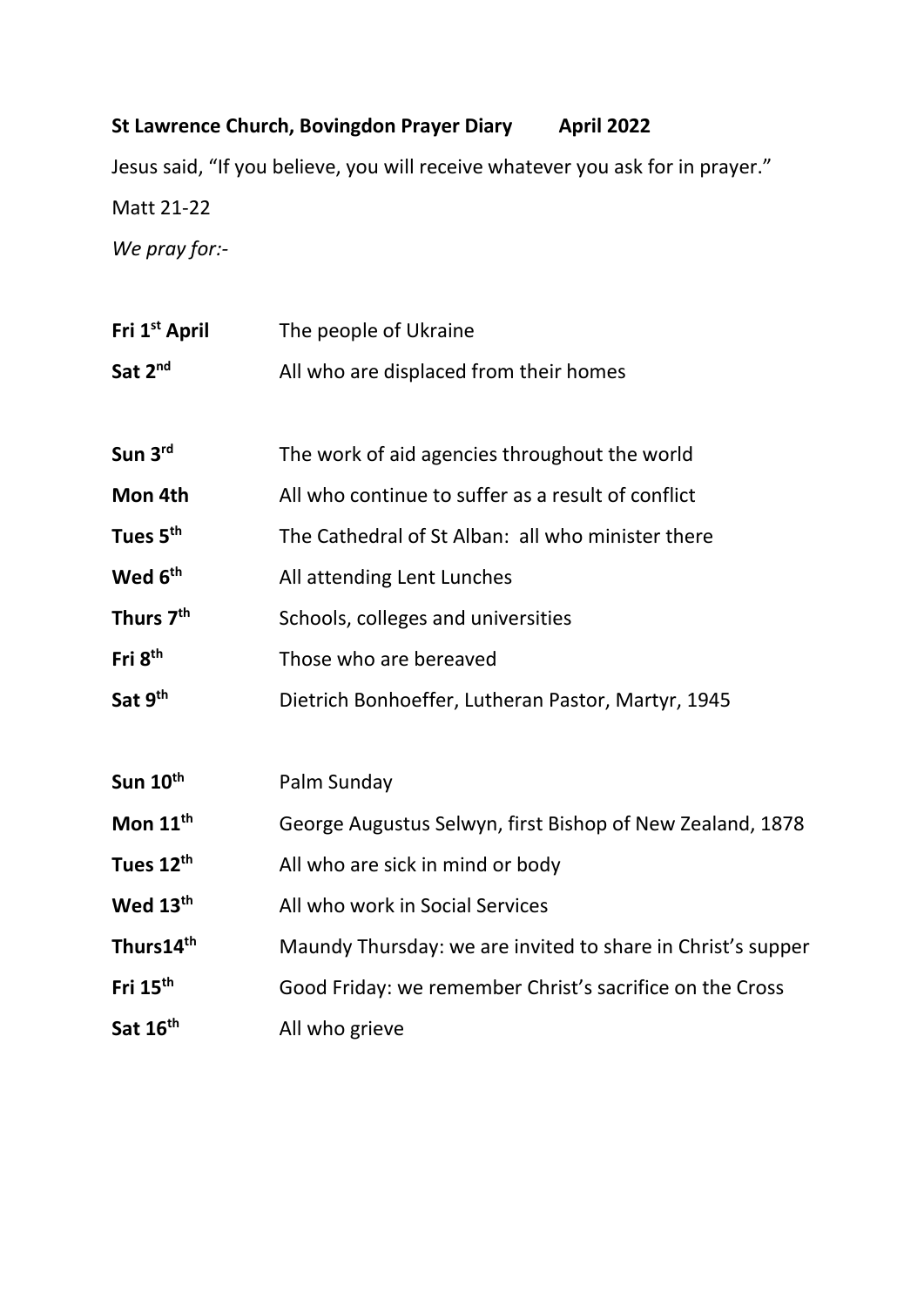## **St Lawrence Church, Bovingdon Prayer Diary April 2022**

Jesus said, "If you believe, you will receive whatever you ask for in prayer." Matt 21-22 *We pray for:-*

| Fri 1 <sup>st</sup> April | The people of Ukraine                                       |
|---------------------------|-------------------------------------------------------------|
| Sat 2 <sup>nd</sup>       | All who are displaced from their homes                      |
|                           |                                                             |
| Sun 3rd                   | The work of aid agencies throughout the world               |
| Mon 4th                   | All who continue to suffer as a result of conflict          |
| Tues 5 <sup>th</sup>      | The Cathedral of St Alban: all who minister there           |
| Wed 6 <sup>th</sup>       | All attending Lent Lunches                                  |
| Thurs 7 <sup>th</sup>     | Schools, colleges and universities                          |
| Fri 8 <sup>th</sup>       | Those who are bereaved                                      |
| Sat 9th                   | Dietrich Bonhoeffer, Lutheran Pastor, Martyr, 1945          |
|                           |                                                             |
| Sun $10^{th}$             | Palm Sunday                                                 |
| Mon 11 <sup>th</sup>      | George Augustus Selwyn, first Bishop of New Zealand, 1878   |
| Tues 12th                 | All who are sick in mind or body                            |
| Wed 13th                  | All who work in Social Services                             |
| Thurs14 <sup>th</sup>     | Maundy Thursday: we are invited to share in Christ's supper |
| Fri 15 <sup>th</sup>      | Good Friday: we remember Christ's sacrifice on the Cross    |
| Sat 16 <sup>th</sup>      | All who grieve                                              |